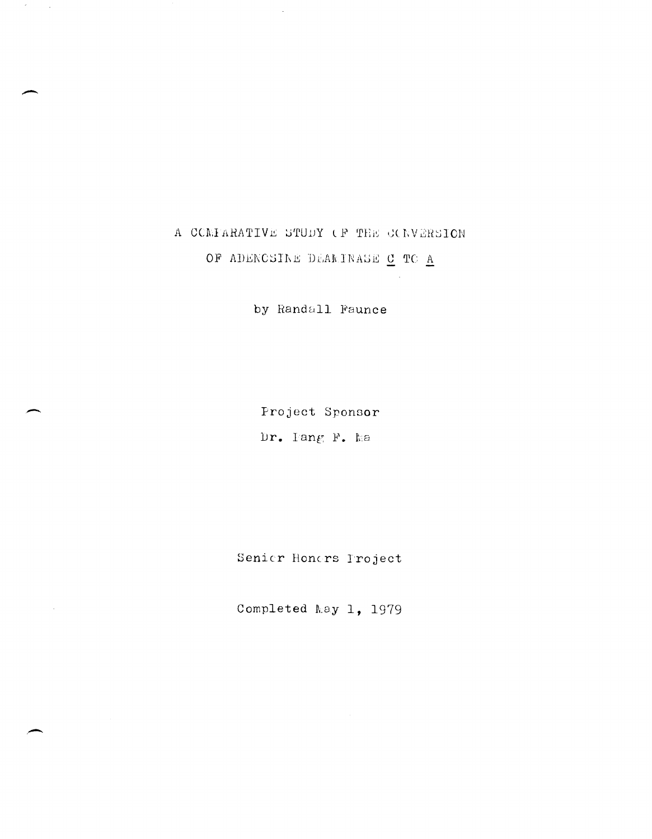# A COMPARATIVE STUDY OF THE CONVERSION OF ADENCSINE DEARINASE C TO A

 $\mathcal{P}^{\pm}$  $\sim 10^4$ 

by Randall Faunce

Project Sponsor Dr. Iang F. Ma

Senier Hondrs Project

Completed May 1, 1979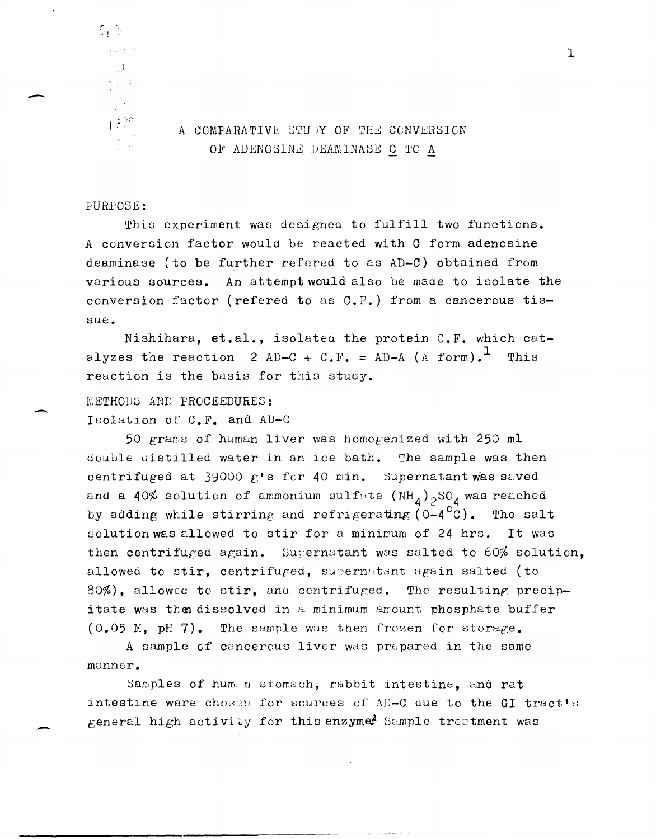

 $\mathbb{S}_t$  ).

.-

 $\overline{\phantom{a}}$ 

-

# $10^{97}$  A COMPARATIVE STUDY OF THE CONVERSION OF ADENOSINE DEAMINASE C TO A

## PURPOSE:

This experiment was designed to fulfill two functions. A conversion factor would be reacted with C form adenosine deaminase (to be further refered to as AD-C) obtained from various sources. An attempt would also be made to isolate the conversion factor (refered to as C.F.) from a cancerous tissue.

Nishihara, et.al., isolated the protein C.F. which catalyzes the reaction 2 AD-C + C.F. = AD-A (A form).<sup>1</sup> This reaction is the basis for this study.

METHODS AND PROCEEDURES: Isolation of C.F. and AD-C

50 grams of human liver was homogenized with 250 ml double cistilled water in an ice bath. The sample was then centrifuged at 39000  $f$ 's for 40 min. Supernatant was saved and a 40% solution of ammonium sulfate  $(NH_4)$ <sub>2</sub>SO<sub>4</sub> was reached by adding while stirring and refrigerating  $(0-4<sup>o</sup>C)$ . The salt solution was allowed to stir for a minimum of 24 hrs. It was then centrifuged again. Supernatant was salted to 60% solution, allowed to stir, centrifuged, supernatant again salted (to 80%), allowed to stir, and centrifuged. The resulting precipitate was then dissolved in a minimum amount phosphate buffer (0.05 M, pH 7). The sample was then frozen for storage.

A sample of cancerous liver was prepared in the same manner.

Samples of humm stomach, rabbit intestine, and rat intestine were chosen for sources of AD-C due to the GI tract's general high activity for this enzyme? Sample treatment was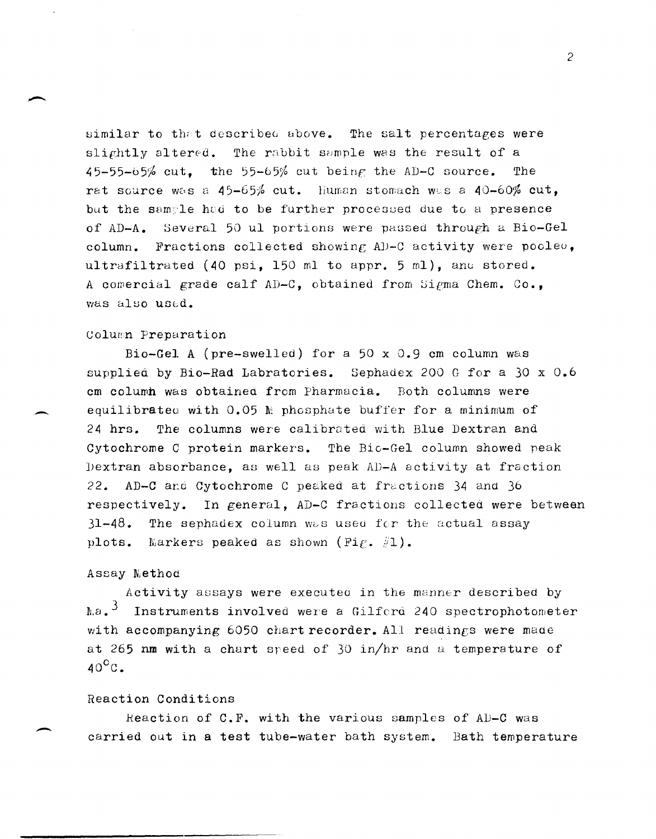similar to that described above. The salt percentages were slightly altered. The rabbit sample was the result of a  $45-55-65\%$  cut, the  $55-65\%$  cut being the AD-C source. The rat source was a 45-65% cut. Human stomach was a 40-60% cut. but the sample had to be further processed due to a presence Several 50 ul portions were passed through a Bio-Gel of  $AD-A$ . column. Fractions collected showing AD-C activity were pooleo, ultrafiltrated (40 psi. 150 ml to appr. 5 ml). and stored. A comercial grade calf AD-C, obtained from Sigma Chem. Co., was also used.

#### Column Preparation

Bio-Gel A (pre-swelled) for a 50 x 0.9 cm column was supplied by Bio-Rad Labratories. Sephadex 200 G for a 30 x 0.6 cm column was obtained from Pharmacia. Both columns were equilibrated with  $0.05$  M phosphate buffer for a minimum of 24 hrs. The columns were calibrated with Blue Dextran and Cytochrome C protein markers. The Bic-Gel column showed peak Dextran absorbance, as well as peak AD-A sctivity at fraction 22. AD-C and Cytochrome C peaked at fractions 34 and 36 respectively. In general, AD-C fractions collected were between 31-48. The sephadex column was used for the actual assay plots. Markers peaked as shown (Fig.  $\#1$ ).

#### Assay Method

Activity assays were executed in the manner described by  $\ln a$ ,  $3$ Instruments involved were a Gilferd 240 spectrophotometer with accompanying 6050 chart recorder. All readings were made at 265 nm with a chart speed of 30 in/hr and a temperature of  $40^{\circ}$ C.

## Reaction Conditions

Reaction of C.F. with the various samples of AD-C was carried out in a test tube-water bath system. Bath temperature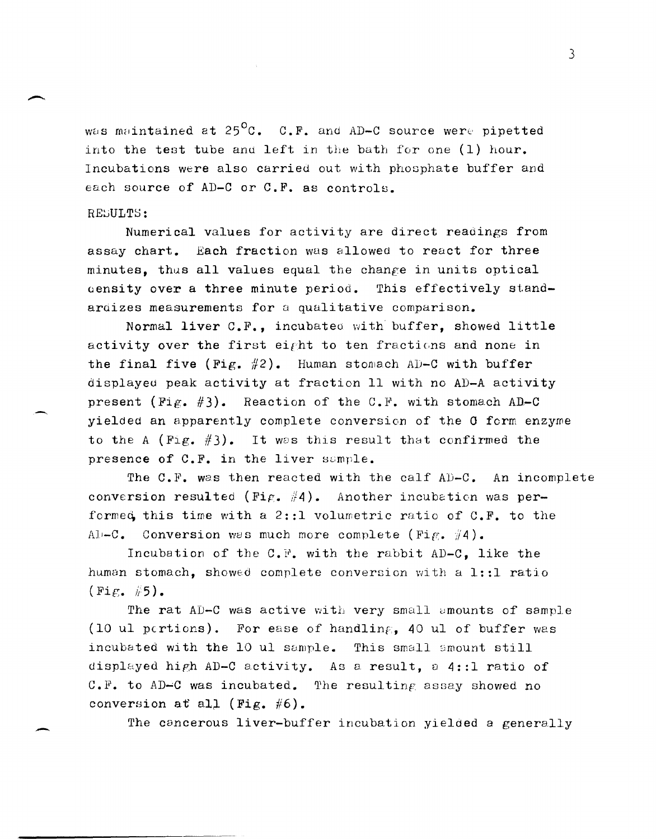was maintained at  $25^{\circ}$ C. C.F. and AD-C source were pipetted into the test tube and left in the bath for one  $(1)$  hour. Incubations were also carried out with phosphate buffer and each source of AD-C or C.F. as controls.

#### RESULTS:

 $\overline{\phantom{0}}$ 

-

-

Numerical values for activity are direct readings from assay chart. Each fraction was allowed to react for three minutes, thas all values equal the change in units optical aensity over a three minute period. This effectively standardizes measurements for a qualitative comparison.

Normal liver C.F., incubated with' buffer, showed little activity over the first eight to ten fractions and none in the final five (Fig.  $#2$ ). Human stomach AD-C with buffer displayeu peak activity at fraction 11 with no AD-A activity present (Fig.  $#3$ ). Reaction of the C.F. with stomach AD-C yielded an apparently complete conversion of the 0 form enzyme to the A (Fig.  $\#3$ ). It was this result that confirmed the presence of C.F. in the liver sample.

The C.F. was then reacted with the calf AD-C. An incomplete conversion resulted (Fig. #4). Another incubation was performed this time with a 2::1 volumetric ratio of  $C.F.$  to the Al-C. Conversion was much more complete (Fig.  $\#4$ ).

Incubation of the C.P. with the rabbit AD-C, like the human stomach, showed complete conversion with a 1::1 ratio  $(Fi \epsilon, \#5)$ .

The rat AD-C was active with very small amounts of sample (10 ul pcrtions). For ease of handling, 40 ul of buffer was incubated with the 10 ul sample. This small smount still displayed high AD-C activity. As a result, a  $4::1$  ratio of C.F. to AD-C was incubated. The resulting assay showed no conversion at all (Fig.  $#6$ ).

The cancerous liver-buffer incubation yielded a generally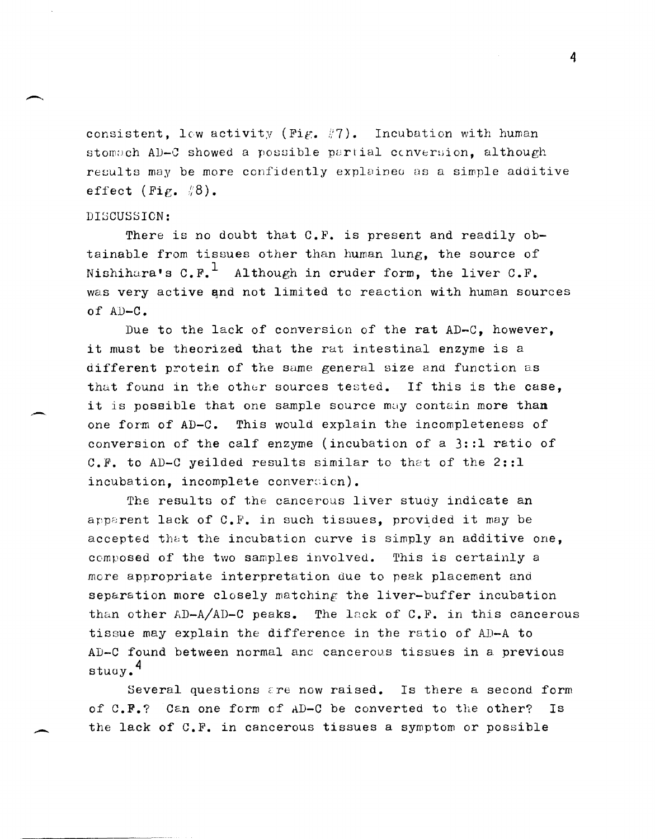consistent, low activity (Fig.  $#7$ ). Incubation with human stomach AD-C showed a possible partial conversion, although results may be more confidently explained as a simple additive effect (Fig.  $\sqrt[n]{8}$ ).

#### DISCUSSION:

..-

There is no doubt that C.F. is present and readily obtainable from tissues other than human lung, the source of Nishihara's  $C.F.^1$  Although in cruder form, the liver  $C.F.^1$ was very active and not limited to reaction with human sources of AD-C.

Due to the lack of conversion of the rat AD-C, however, it must be theorized that the rat intestinal enzyme is a different protein of the sume general size and function as that found in the other sources tested. If this is the case, it is possible that one sample source may contain more than *one* form of AD-C. This would explain the incompleteness of conversion of the calf enzyme (incubation of a 3::1 ratio of C.F. to AD-C yeilded results similar to that of the 2::1  $incubation, incomplete conversion$ .

The results of the cancerous liver study indicate an apparent lack of  $C.F.$  in such tissues, provided it may be accepted that the incubation curve is simply an additive one, composed of the two samples involved. This is certainly a more appropriate interpretation due to peak placement and separation more closely matching the liver-buffer incubation than other  $AD-A/AD-C$  peaks. The lack of C.F. in this cancerous tissue may explain the difference in the ratio of AD-A to AD-C found between normal anc cancerous tissues in a previous stuoy.4

Several questions are now raised. Is there a second form of  $C. F.$ ? Can one form of AD-C be converted to the other? Is the lack of C.F. in cancerous tissues a symptom or possible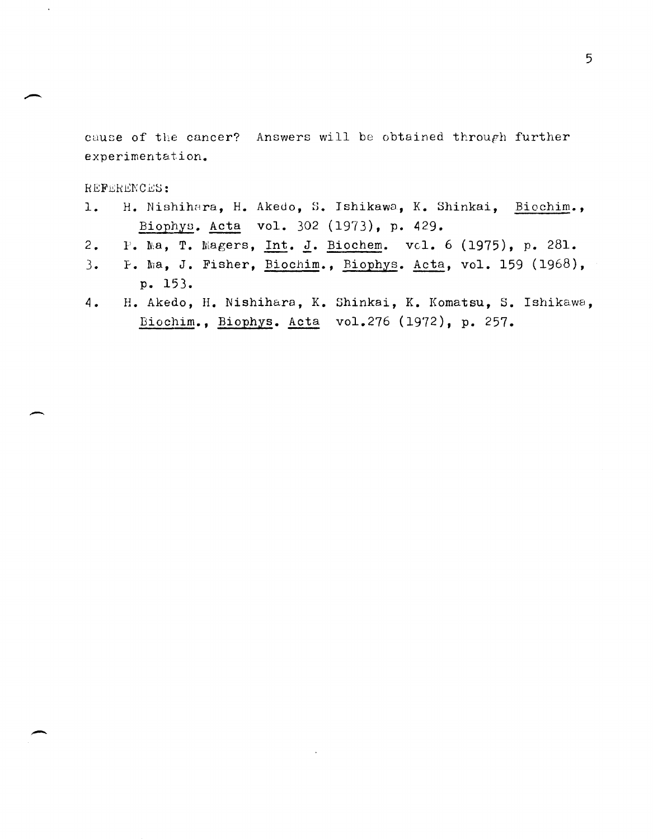cause of the cancer? Answers will be obtained throuph further experimentation.

REFERENCES:

-

 $\bar{\lambda}$ 

-

- 1. H. Nishihara, H. Akedo, S. Ishikawa, K. Shinkai, Biochim., Biophys. Acta vol. 302 (1973), p. 429.
- 2. P. Ma, T. Magers, Int. J. Biochem. vcl. 6 (1975), p. 281.
- 3. F. Ma, J. Fisher, Biochim., Biophys. Acta, vol. 159 (1968),  $p. 153.$
- 4 H. Akedo, H. Nishihara, K. Shinkai, K. Komatsu, S. Ishikawa, Biochim., Biophys. Acta vol.276 (1972), p. 257.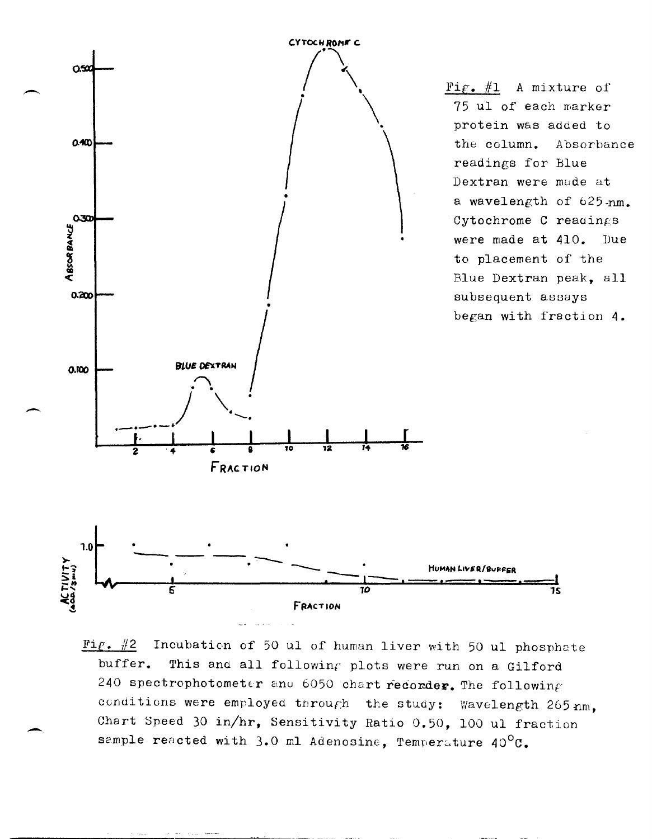

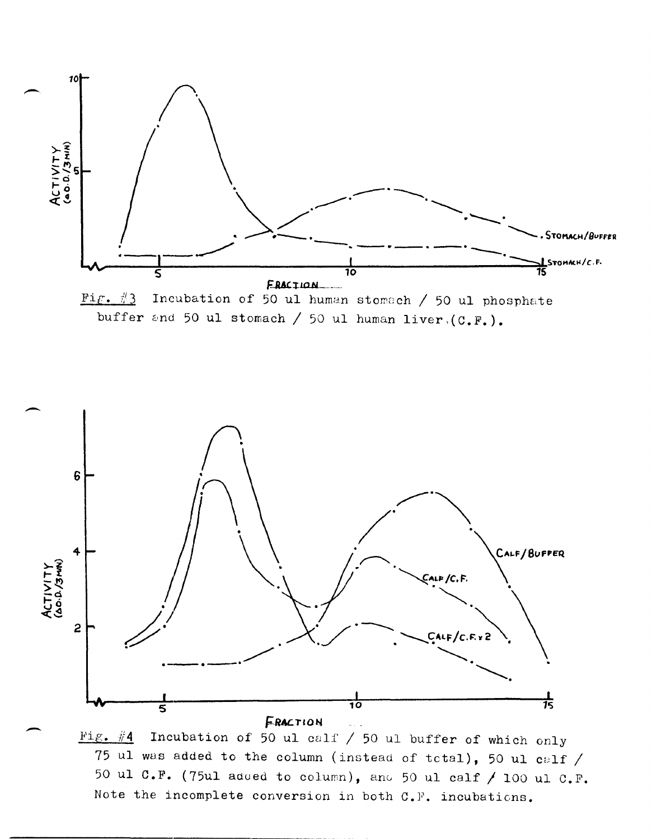





Incubation of 50 ul calf / 50 ul buffer of which only Fig.  $#4$ 75 ul was added to the column (instead of total), 50 ul calf / 50 ul C.F. (75ul added to column), and 50 ul calf / 100 ul C.F. Note the incomplete conversion in both C.F. incubations.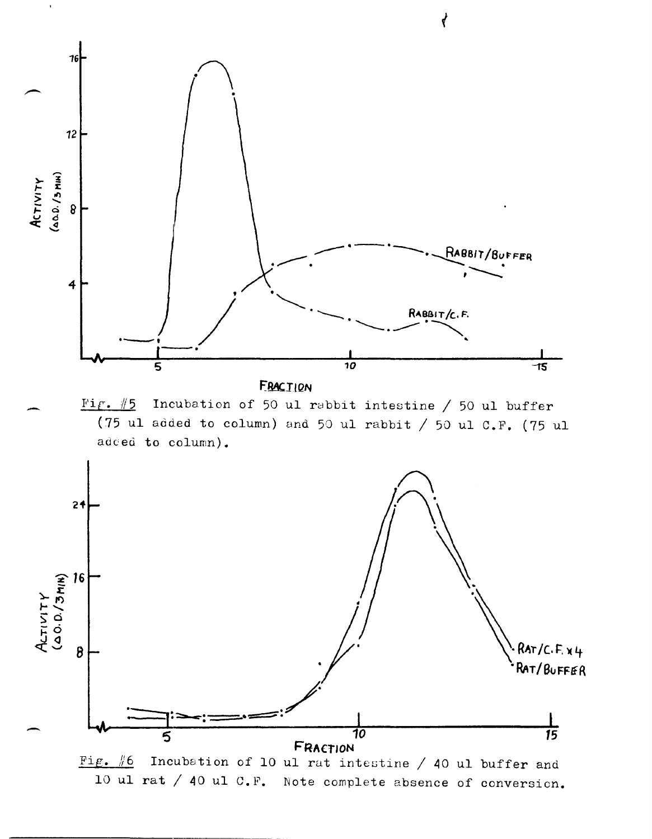

 $\overrightarrow{r}$ 

Fig.  $#6$ Incubation of 10 ul rat intestine / 40 ul buffer and 10 ul rat / 40 ul C.F. Note complete absence of conversion.